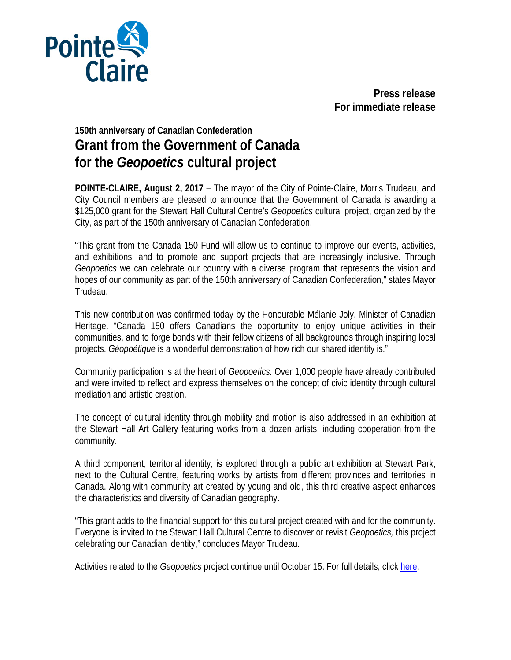

**Press release For immediate release**

## **150th anniversary of Canadian Confederation Grant from the Government of Canada for the** *Geopoetics* **cultural project**

**POINTE-CLAIRE, August 2, 2017** – The mayor of the City of Pointe-Claire, Morris Trudeau, and City Council members are pleased to announce that the Government of Canada is awarding a \$125,000 grant for the Stewart Hall Cultural Centre's *Geopoetics* cultural project, organized by the City, as part of the 150th anniversary of Canadian Confederation.

"This grant from the Canada 150 Fund will allow us to continue to improve our events, activities, and exhibitions, and to promote and support projects that are increasingly inclusive. Through *Geopoetics* we can celebrate our country with a diverse program that represents the vision and hopes of our community as part of the 150th anniversary of Canadian Confederation," states Mayor Trudeau.

This new contribution was confirmed today by the Honourable Mélanie Joly, Minister of Canadian Heritage. "Canada 150 offers Canadians the opportunity to enjoy unique activities in their communities, and to forge bonds with their fellow citizens of all backgrounds through inspiring local projects. *Géopoétique* is a wonderful demonstration of how rich our shared identity is."

Community participation is at the heart of *Geopoetics.* Over 1,000 people have already contributed and were invited to reflect and express themselves on the concept of civic identity through cultural mediation and artistic creation.

The concept of cultural identity through mobility and motion is also addressed in an exhibition at the Stewart Hall Art Gallery featuring works from a dozen artists, including cooperation from the community.

A third component, territorial identity, is explored through a public art exhibition at Stewart Park, next to the Cultural Centre, featuring works by artists from different provinces and territories in Canada. Along with community art created by young and old, this third creative aspect enhances the characteristics and diversity of Canadian geography.

"This grant adds to the financial support for this cultural project created with and for the community. Everyone is invited to the Stewart Hall Cultural Centre to discover or revisit *Geopoetics,* this project celebrating our Canadian identity," concludes Mayor Trudeau.

Activities related to the *Geopoetics* project continue until October 15. For full details, click [here.](http://geopoetics.ca/)